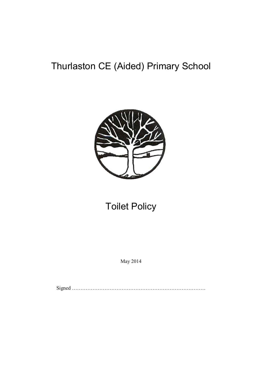# Thurlaston CE (Aided) Primary School



## Toilet Policy

May 2014

Signed ……………………………………………………………………